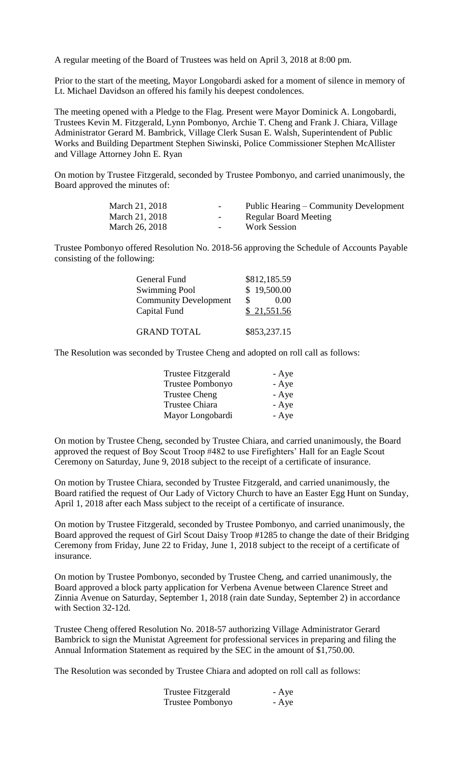A regular meeting of the Board of Trustees was held on April 3, 2018 at 8:00 pm.

Prior to the start of the meeting, Mayor Longobardi asked for a moment of silence in memory of Lt. Michael Davidson an offered his family his deepest condolences.

The meeting opened with a Pledge to the Flag. Present were Mayor Dominick A. Longobardi, Trustees Kevin M. Fitzgerald, Lynn Pombonyo, Archie T. Cheng and Frank J. Chiara, Village Administrator Gerard M. Bambrick, Village Clerk Susan E. Walsh, Superintendent of Public Works and Building Department Stephen Siwinski, Police Commissioner Stephen McAllister and Village Attorney John E. Ryan

On motion by Trustee Fitzgerald, seconded by Trustee Pombonyo, and carried unanimously, the Board approved the minutes of:

| March 21, 2018 | $\sim$ | Public Hearing – Community Development |
|----------------|--------|----------------------------------------|
| March 21, 2018 | $\sim$ | Regular Board Meeting                  |
| March 26, 2018 | $\sim$ | <b>Work Session</b>                    |

Trustee Pombonyo offered Resolution No. 2018-56 approving the Schedule of Accounts Payable consisting of the following:

| General Fund                 | \$812,185.59 |
|------------------------------|--------------|
| <b>Swimming Pool</b>         | \$19,500.00  |
| <b>Community Development</b> | \$<br>0.00   |
| Capital Fund                 | \$21,551.56  |
|                              |              |
| <b>GRAND TOTAL</b>           | \$853,237.15 |

The Resolution was seconded by Trustee Cheng and adopted on roll call as follows:

| <b>Trustee Fitzgerald</b> | - Aye |
|---------------------------|-------|
| Trustee Pombonyo          | - Aye |
| <b>Trustee Cheng</b>      | - Aye |
| Trustee Chiara            | - Aye |
| Mayor Longobardi          | - Aye |

On motion by Trustee Cheng, seconded by Trustee Chiara, and carried unanimously, the Board approved the request of Boy Scout Troop #482 to use Firefighters' Hall for an Eagle Scout Ceremony on Saturday, June 9, 2018 subject to the receipt of a certificate of insurance.

On motion by Trustee Chiara, seconded by Trustee Fitzgerald, and carried unanimously, the Board ratified the request of Our Lady of Victory Church to have an Easter Egg Hunt on Sunday, April 1, 2018 after each Mass subject to the receipt of a certificate of insurance.

On motion by Trustee Fitzgerald, seconded by Trustee Pombonyo, and carried unanimously, the Board approved the request of Girl Scout Daisy Troop #1285 to change the date of their Bridging Ceremony from Friday, June 22 to Friday, June 1, 2018 subject to the receipt of a certificate of insurance.

On motion by Trustee Pombonyo, seconded by Trustee Cheng, and carried unanimously, the Board approved a block party application for Verbena Avenue between Clarence Street and Zinnia Avenue on Saturday, September 1, 2018 (rain date Sunday, September 2) in accordance with Section 32-12d.

Trustee Cheng offered Resolution No. 2018-57 authorizing Village Administrator Gerard Bambrick to sign the Munistat Agreement for professional services in preparing and filing the Annual Information Statement as required by the SEC in the amount of \$1,750.00.

The Resolution was seconded by Trustee Chiara and adopted on roll call as follows:

| Trustee Fitzgerald | - Aye |
|--------------------|-------|
| Trustee Pombonyo   | - Aye |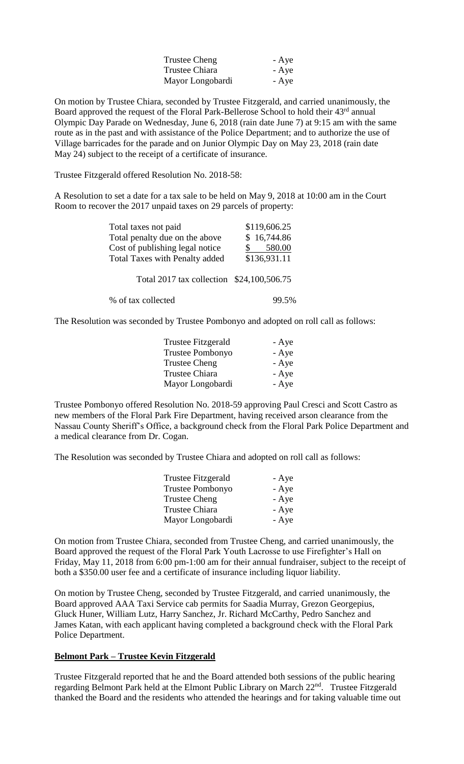| Trustee Cheng    | - Aye |
|------------------|-------|
| Trustee Chiara   | - Aye |
| Mayor Longobardi | - Aye |

On motion by Trustee Chiara, seconded by Trustee Fitzgerald, and carried unanimously, the Board approved the request of the Floral Park-Bellerose School to hold their 43<sup>rd</sup> annual Olympic Day Parade on Wednesday, June 6, 2018 (rain date June 7) at 9:15 am with the same route as in the past and with assistance of the Police Department; and to authorize the use of Village barricades for the parade and on Junior Olympic Day on May 23, 2018 (rain date May 24) subject to the receipt of a certificate of insurance.

Trustee Fitzgerald offered Resolution No. 2018-58:

A Resolution to set a date for a tax sale to be held on May 9, 2018 at 10:00 am in the Court Room to recover the 2017 unpaid taxes on 29 parcels of property:

| Total taxes not paid                      | \$119,606.25 |
|-------------------------------------------|--------------|
| Total penalty due on the above            | \$16,744.86  |
| Cost of publishing legal notice           | 580.00       |
| <b>Total Taxes with Penalty added</b>     | \$136,931.11 |
|                                           |              |
| Total 2017 tax collection \$24,100,506.75 |              |
| % of tax collected                        | 99.5%        |

The Resolution was seconded by Trustee Pombonyo and adopted on roll call as follows:

| <b>Trustee Fitzgerald</b> | - Aye |
|---------------------------|-------|
| <b>Trustee Pombonyo</b>   | - Aye |
| <b>Trustee Cheng</b>      | - Aye |
| <b>Trustee Chiara</b>     | - Aye |
| Mayor Longobardi          | - Aye |

Trustee Pombonyo offered Resolution No. 2018-59 approving Paul Cresci and Scott Castro as new members of the Floral Park Fire Department, having received arson clearance from the Nassau County Sheriff's Office, a background check from the Floral Park Police Department and a medical clearance from Dr. Cogan.

The Resolution was seconded by Trustee Chiara and adopted on roll call as follows:

| Trustee Fitzgerald      | - Aye |
|-------------------------|-------|
| <b>Trustee Pombonyo</b> | - Aye |
| Trustee Cheng           | - Aye |
| Trustee Chiara          | - Aye |
| Mayor Longobardi        | - Aye |

On motion from Trustee Chiara, seconded from Trustee Cheng, and carried unanimously, the Board approved the request of the Floral Park Youth Lacrosse to use Firefighter's Hall on Friday, May 11, 2018 from 6:00 pm-1:00 am for their annual fundraiser, subject to the receipt of both a \$350.00 user fee and a certificate of insurance including liquor liability.

On motion by Trustee Cheng, seconded by Trustee Fitzgerald, and carried unanimously, the Board approved AAA Taxi Service cab permits for Saadia Murray, Grezon Georgepius, Gluck Huner, William Lutz, Harry Sanchez, Jr. Richard McCarthy, Pedro Sanchez and James Katan, with each applicant having completed a background check with the Floral Park Police Department.

#### **Belmont Park – Trustee Kevin Fitzgerald**

Trustee Fitzgerald reported that he and the Board attended both sessions of the public hearing regarding Belmont Park held at the Elmont Public Library on March 22nd. Trustee Fitzgerald thanked the Board and the residents who attended the hearings and for taking valuable time out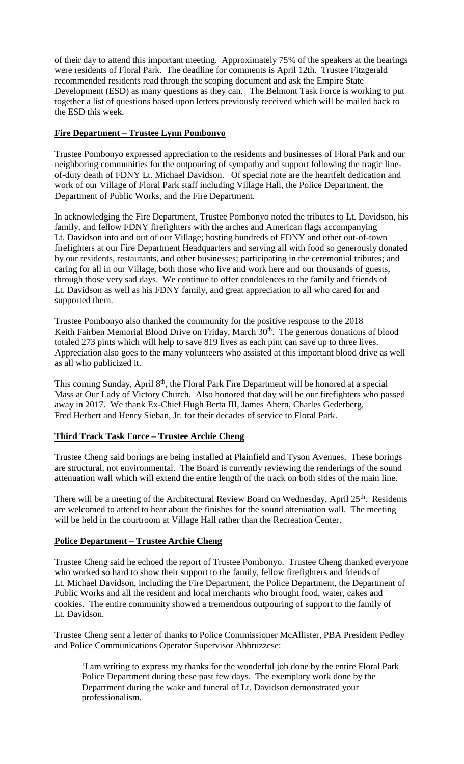of their day to attend this important meeting. Approximately 75% of the speakers at the hearings were residents of Floral Park. The deadline for comments is April 12th. Trustee Fitzgerald recommended residents read through the scoping document and ask the Empire State Development (ESD) as many questions as they can. The Belmont Task Force is working to put together a list of questions based upon letters previously received which will be mailed back to the ESD this week.

## **Fire Department – Trustee Lynn Pombonyo**

Trustee Pombonyo expressed appreciation to the residents and businesses of Floral Park and our neighboring communities for the outpouring of sympathy and support following the tragic lineof-duty death of FDNY Lt. Michael Davidson. Of special note are the heartfelt dedication and work of our Village of Floral Park staff including Village Hall, the Police Department, the Department of Public Works, and the Fire Department.

In acknowledging the Fire Department, Trustee Pombonyo noted the tributes to Lt. Davidson, his family, and fellow FDNY firefighters with the arches and American flags accompanying Lt. Davidson into and out of our Village; hosting hundreds of FDNY and other out-of-town firefighters at our Fire Department Headquarters and serving all with food so generously donated by our residents, restaurants, and other businesses; participating in the ceremonial tributes; and caring for all in our Village, both those who live and work here and our thousands of guests, through those very sad days. We continue to offer condolences to the family and friends of Lt. Davidson as well as his FDNY family, and great appreciation to all who cared for and supported them.

Trustee Pombonyo also thanked the community for the positive response to the 2018 Keith Fairben Memorial Blood Drive on Friday, March 30<sup>th</sup>. The generous donations of blood totaled 273 pints which will help to save 819 lives as each pint can save up to three lives. Appreciation also goes to the many volunteers who assisted at this important blood drive as well as all who publicized it.

This coming Sunday, April 8<sup>th</sup>, the Floral Park Fire Department will be honored at a special Mass at Our Lady of Victory Church. Also honored that day will be our firefighters who passed away in 2017. We thank Ex-Chief Hugh Berta III, James Ahern, Charles Gederberg, Fred Herbert and Henry Sieban, Jr. for their decades of service to Floral Park.

# **Third Track Task Force – Trustee Archie Cheng**

Trustee Cheng said borings are being installed at Plainfield and Tyson Avenues. These borings are structural, not environmental. The Board is currently reviewing the renderings of the sound attenuation wall which will extend the entire length of the track on both sides of the main line.

There will be a meeting of the Architectural Review Board on Wednesday, April  $25<sup>th</sup>$ . Residents are welcomed to attend to hear about the finishes for the sound attenuation wall. The meeting will be held in the courtroom at Village Hall rather than the Recreation Center.

### **Police Department – Trustee Archie Cheng**

Trustee Cheng said he echoed the report of Trustee Pombonyo. Trustee Cheng thanked everyone who worked so hard to show their support to the family, fellow firefighters and friends of Lt. Michael Davidson, including the Fire Department, the Police Department, the Department of Public Works and all the resident and local merchants who brought food, water, cakes and cookies. The entire community showed a tremendous outpouring of support to the family of Lt. Davidson.

Trustee Cheng sent a letter of thanks to Police Commissioner McAllister, PBA President Pedley and Police Communications Operator Supervisor Abbruzzese:

'I am writing to express my thanks for the wonderful job done by the entire Floral Park Police Department during these past few days. The exemplary work done by the Department during the wake and funeral of Lt. Davidson demonstrated your professionalism.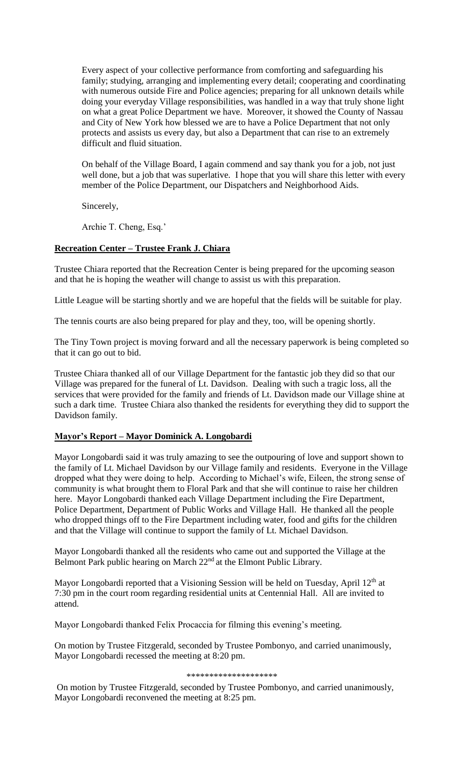Every aspect of your collective performance from comforting and safeguarding his family; studying, arranging and implementing every detail; cooperating and coordinating with numerous outside Fire and Police agencies; preparing for all unknown details while doing your everyday Village responsibilities, was handled in a way that truly shone light on what a great Police Department we have. Moreover, it showed the County of Nassau and City of New York how blessed we are to have a Police Department that not only protects and assists us every day, but also a Department that can rise to an extremely difficult and fluid situation.

On behalf of the Village Board, I again commend and say thank you for a job, not just well done, but a job that was superlative. I hope that you will share this letter with every member of the Police Department, our Dispatchers and Neighborhood Aids.

Sincerely,

Archie T. Cheng, Esq.'

## **Recreation Center – Trustee Frank J. Chiara**

Trustee Chiara reported that the Recreation Center is being prepared for the upcoming season and that he is hoping the weather will change to assist us with this preparation.

Little League will be starting shortly and we are hopeful that the fields will be suitable for play.

The tennis courts are also being prepared for play and they, too, will be opening shortly.

The Tiny Town project is moving forward and all the necessary paperwork is being completed so that it can go out to bid.

Trustee Chiara thanked all of our Village Department for the fantastic job they did so that our Village was prepared for the funeral of Lt. Davidson. Dealing with such a tragic loss, all the services that were provided for the family and friends of Lt. Davidson made our Village shine at such a dark time. Trustee Chiara also thanked the residents for everything they did to support the Davidson family.

### **Mayor's Report – Mayor Dominick A. Longobardi**

Mayor Longobardi said it was truly amazing to see the outpouring of love and support shown to the family of Lt. Michael Davidson by our Village family and residents. Everyone in the Village dropped what they were doing to help. According to Michael's wife, Eileen, the strong sense of community is what brought them to Floral Park and that she will continue to raise her children here. Mayor Longobardi thanked each Village Department including the Fire Department, Police Department, Department of Public Works and Village Hall. He thanked all the people who dropped things off to the Fire Department including water, food and gifts for the children and that the Village will continue to support the family of Lt. Michael Davidson.

Mayor Longobardi thanked all the residents who came out and supported the Village at the Belmont Park public hearing on March 22<sup>nd</sup> at the Elmont Public Library.

Mayor Longobardi reported that a Visioning Session will be held on Tuesday, April 12<sup>th</sup> at 7:30 pm in the court room regarding residential units at Centennial Hall. All are invited to attend.

Mayor Longobardi thanked Felix Procaccia for filming this evening's meeting.

On motion by Trustee Fitzgerald, seconded by Trustee Pombonyo, and carried unanimously, Mayor Longobardi recessed the meeting at 8:20 pm.

#### \*\*\*\*\*\*\*\*\*\*\*\*\*\*\*\*\*\*\*\*

On motion by Trustee Fitzgerald, seconded by Trustee Pombonyo, and carried unanimously, Mayor Longobardi reconvened the meeting at 8:25 pm.